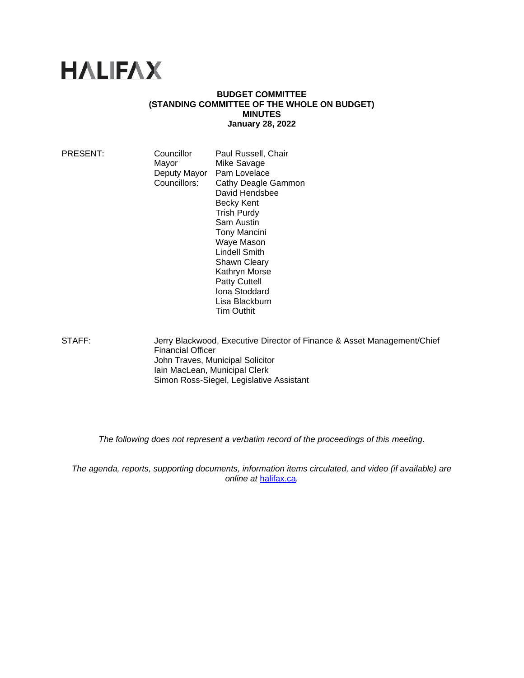# **HALIFAX**

### **BUDGET COMMITTEE (STANDING COMMITTEE OF THE WHOLE ON BUDGET) MINUTES January 28, 2022**

PRESENT: Councillor Paul Russell, Chair Mayor Mike Savage<br>Deputy Mayor Pam Lovelace Deputy Mayor Councillors: Cathy Deagle Gammon David Hendsbee Becky Kent Trish Purdy Sam Austin Tony Mancini Waye Mason Lindell Smith Shawn Cleary Kathryn Morse Patty Cuttell Iona Stoddard Lisa Blackburn Tim Outhit

STAFF: Jerry Blackwood, Executive Director of Finance & Asset Management/Chief Financial Officer John Traves, Municipal Solicitor Iain MacLean, Municipal Clerk Simon Ross-Siegel, Legislative Assistant

*The following does not represent a verbatim record of the proceedings of this meeting.*

*The agenda, reports, supporting documents, information items circulated, and video (if available) are online at* [halifax.ca](http://www.halifax.ca/)*.*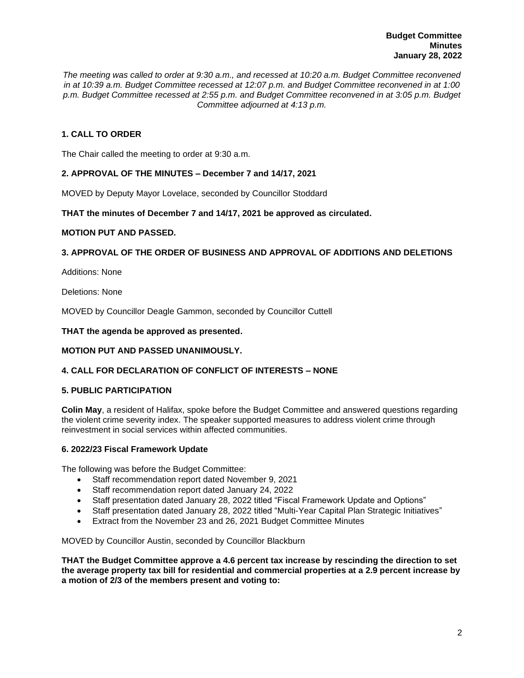*The meeting was called to order at 9:30 a.m., and recessed at 10:20 a.m. Budget Committee reconvened in at 10:39 a.m. Budget Committee recessed at 12:07 p.m. and Budget Committee reconvened in at 1:00 p.m. Budget Committee recessed at 2:55 p.m. and Budget Committee reconvened in at 3:05 p.m. Budget Committee adjourned at 4:13 p.m.*

# **1. CALL TO ORDER**

The Chair called the meeting to order at 9:30 a.m.

# **2. APPROVAL OF THE MINUTES – December 7 and 14/17, 2021**

MOVED by Deputy Mayor Lovelace, seconded by Councillor Stoddard

## **THAT the minutes of December 7 and 14/17, 2021 be approved as circulated.**

### **MOTION PUT AND PASSED.**

# **3. APPROVAL OF THE ORDER OF BUSINESS AND APPROVAL OF ADDITIONS AND DELETIONS**

Additions: None

Deletions: None

MOVED by Councillor Deagle Gammon, seconded by Councillor Cuttell

### **THAT the agenda be approved as presented.**

## **MOTION PUT AND PASSED UNANIMOUSLY.**

# **4. CALL FOR DECLARATION OF CONFLICT OF INTERESTS – NONE**

## **5. PUBLIC PARTICIPATION**

**Colin May**, a resident of Halifax, spoke before the Budget Committee and answered questions regarding the violent crime severity index. The speaker supported measures to address violent crime through reinvestment in social services within affected communities.

## **6. 2022/23 Fiscal Framework Update**

The following was before the Budget Committee:

- Staff recommendation report dated November 9, 2021
- Staff recommendation report dated January 24, 2022
- Staff presentation dated January 28, 2022 titled "Fiscal Framework Update and Options"
- Staff presentation dated January 28, 2022 titled "Multi-Year Capital Plan Strategic Initiatives"
- Extract from the November 23 and 26, 2021 Budget Committee Minutes

MOVED by Councillor Austin, seconded by Councillor Blackburn

**THAT the Budget Committee approve a 4.6 percent tax increase by rescinding the direction to set the average property tax bill for residential and commercial properties at a 2.9 percent increase by a motion of 2/3 of the members present and voting to:**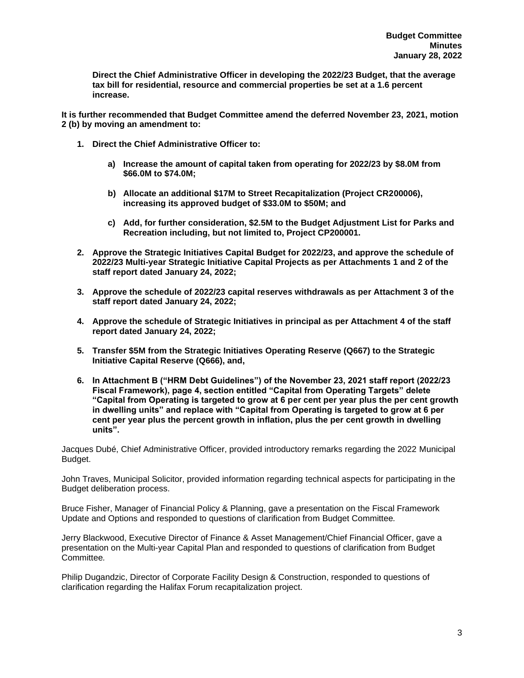**Direct the Chief Administrative Officer in developing the 2022/23 Budget, that the average tax bill for residential, resource and commercial properties be set at a 1.6 percent increase.**

**It is further recommended that Budget Committee amend the deferred November 23, 2021, motion 2 (b) by moving an amendment to:**

- **1. Direct the Chief Administrative Officer to:**
	- **a) Increase the amount of capital taken from operating for 2022/23 by \$8.0M from \$66.0M to \$74.0M;**
	- **b) Allocate an additional \$17M to Street Recapitalization (Project CR200006), increasing its approved budget of \$33.0M to \$50M; and**
	- **c) Add, for further consideration, \$2.5M to the Budget Adjustment List for Parks and Recreation including, but not limited to, Project CP200001.**
- **2. Approve the Strategic Initiatives Capital Budget for 2022/23, and approve the schedule of 2022/23 Multi-year Strategic Initiative Capital Projects as per Attachments 1 and 2 of the staff report dated January 24, 2022;**
- **3. Approve the schedule of 2022/23 capital reserves withdrawals as per Attachment 3 of the staff report dated January 24, 2022;**
- **4. Approve the schedule of Strategic Initiatives in principal as per Attachment 4 of the staff report dated January 24, 2022;**
- **5. Transfer \$5M from the Strategic Initiatives Operating Reserve (Q667) to the Strategic Initiative Capital Reserve (Q666), and,**
- **6. In Attachment B ("HRM Debt Guidelines") of the November 23, 2021 staff report (2022/23 Fiscal Framework), page 4, section entitled "Capital from Operating Targets" delete "Capital from Operating is targeted to grow at 6 per cent per year plus the per cent growth in dwelling units" and replace with "Capital from Operating is targeted to grow at 6 per cent per year plus the percent growth in inflation, plus the per cent growth in dwelling units".**

Jacques Dubé, Chief Administrative Officer, provided introductory remarks regarding the 2022 Municipal Budget.

John Traves, Municipal Solicitor, provided information regarding technical aspects for participating in the Budget deliberation process.

Bruce Fisher, Manager of Financial Policy & Planning, gave a presentation on the Fiscal Framework Update and Options and responded to questions of clarification from Budget Committee*.*

Jerry Blackwood, Executive Director of Finance & Asset Management/Chief Financial Officer, gave a presentation on the Multi-year Capital Plan and responded to questions of clarification from Budget Committee*.*

Philip Dugandzic, Director of Corporate Facility Design & Construction, responded to questions of clarification regarding the Halifax Forum recapitalization project.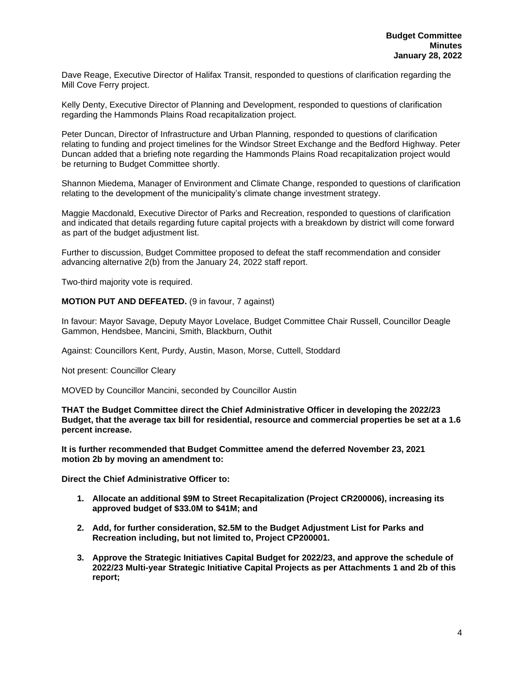Dave Reage, Executive Director of Halifax Transit, responded to questions of clarification regarding the Mill Cove Ferry project.

Kelly Denty, Executive Director of Planning and Development, responded to questions of clarification regarding the Hammonds Plains Road recapitalization project.

Peter Duncan, Director of Infrastructure and Urban Planning, responded to questions of clarification relating to funding and project timelines for the Windsor Street Exchange and the Bedford Highway. Peter Duncan added that a briefing note regarding the Hammonds Plains Road recapitalization project would be returning to Budget Committee shortly.

Shannon Miedema, Manager of Environment and Climate Change, responded to questions of clarification relating to the development of the municipality's climate change investment strategy.

Maggie Macdonald, Executive Director of Parks and Recreation, responded to questions of clarification and indicated that details regarding future capital projects with a breakdown by district will come forward as part of the budget adjustment list.

Further to discussion, Budget Committee proposed to defeat the staff recommendation and consider advancing alternative 2(b) from the January 24, 2022 staff report.

Two-third majority vote is required.

**MOTION PUT AND DEFEATED.** (9 in favour, 7 against)

In favour: Mayor Savage, Deputy Mayor Lovelace, Budget Committee Chair Russell, Councillor Deagle Gammon, Hendsbee, Mancini, Smith, Blackburn, Outhit

Against: Councillors Kent, Purdy, Austin, Mason, Morse, Cuttell, Stoddard

Not present: Councillor Cleary

MOVED by Councillor Mancini, seconded by Councillor Austin

**THAT the Budget Committee direct the Chief Administrative Officer in developing the 2022/23 Budget, that the average tax bill for residential, resource and commercial properties be set at a 1.6 percent increase.**

**It is further recommended that Budget Committee amend the deferred November 23, 2021 motion 2b by moving an amendment to:**

**Direct the Chief Administrative Officer to:**

- **1. Allocate an additional \$9M to Street Recapitalization (Project CR200006), increasing its approved budget of \$33.0M to \$41M; and**
- **2. Add, for further consideration, \$2.5M to the Budget Adjustment List for Parks and Recreation including, but not limited to, Project CP200001.**
- **3. Approve the Strategic Initiatives Capital Budget for 2022/23, and approve the schedule of 2022/23 Multi-year Strategic Initiative Capital Projects as per Attachments 1 and 2b of this report;**